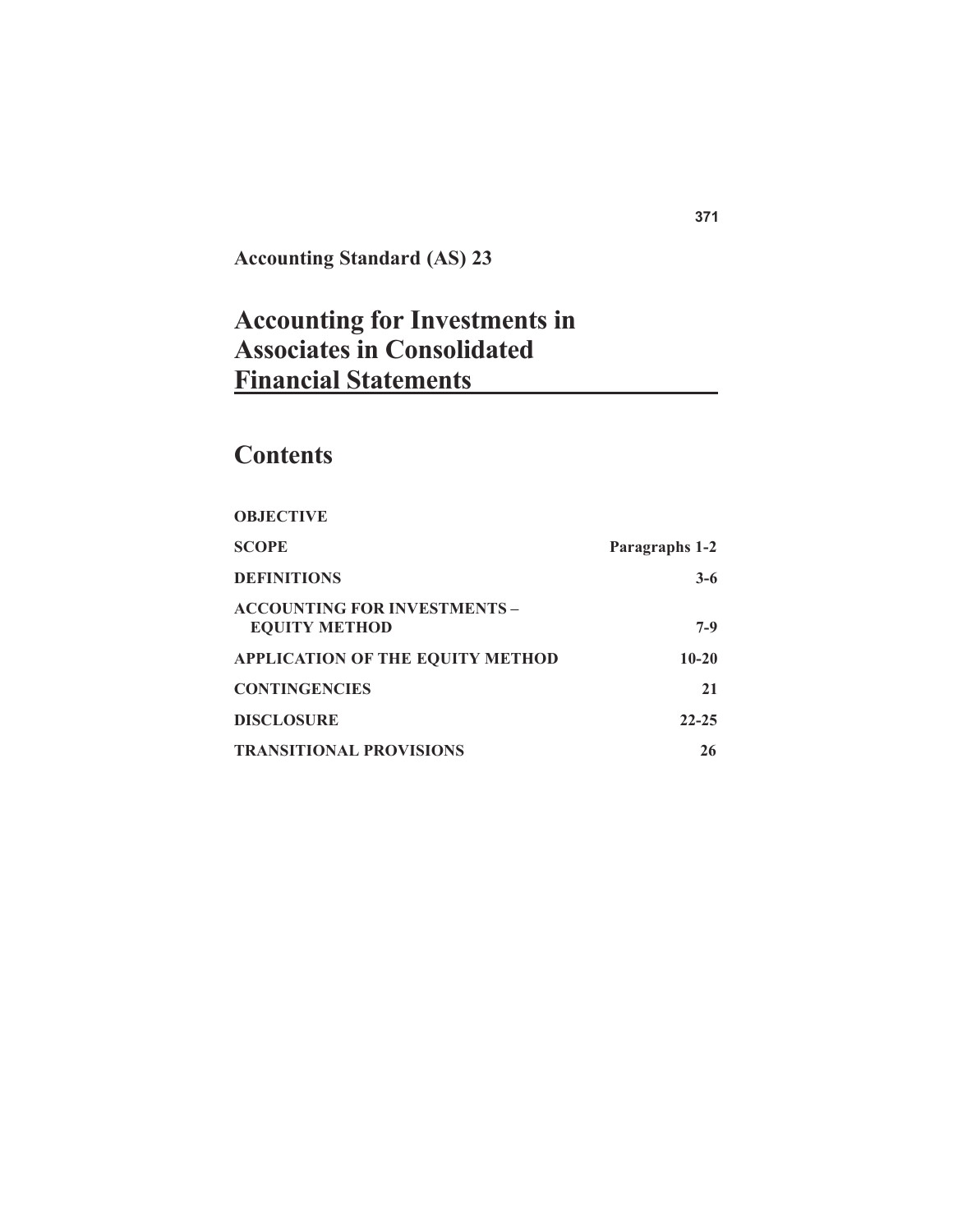**Accounting Standard (AS) 23**

# **Accounting for Investments in Associates in Consolidated Financial Statements**

# **Contents**

| <b>OBJECTIVE</b>                                            |                |
|-------------------------------------------------------------|----------------|
| <b>SCOPE</b>                                                | Paragraphs 1-2 |
| <b>DEFINITIONS</b>                                          | $3-6$          |
| <b>ACCOUNTING FOR INVESTMENTS -</b><br><b>EQUITY METHOD</b> | $7-9$          |
| <b>APPLICATION OF THE EQUITY METHOD</b>                     | $10-20$        |
| <b>CONTINGENCIES</b>                                        | 21             |
| <b>DISCLOSURE</b>                                           | $22 - 25$      |
| <b>TRANSITIONAL PROVISIONS</b>                              | 26             |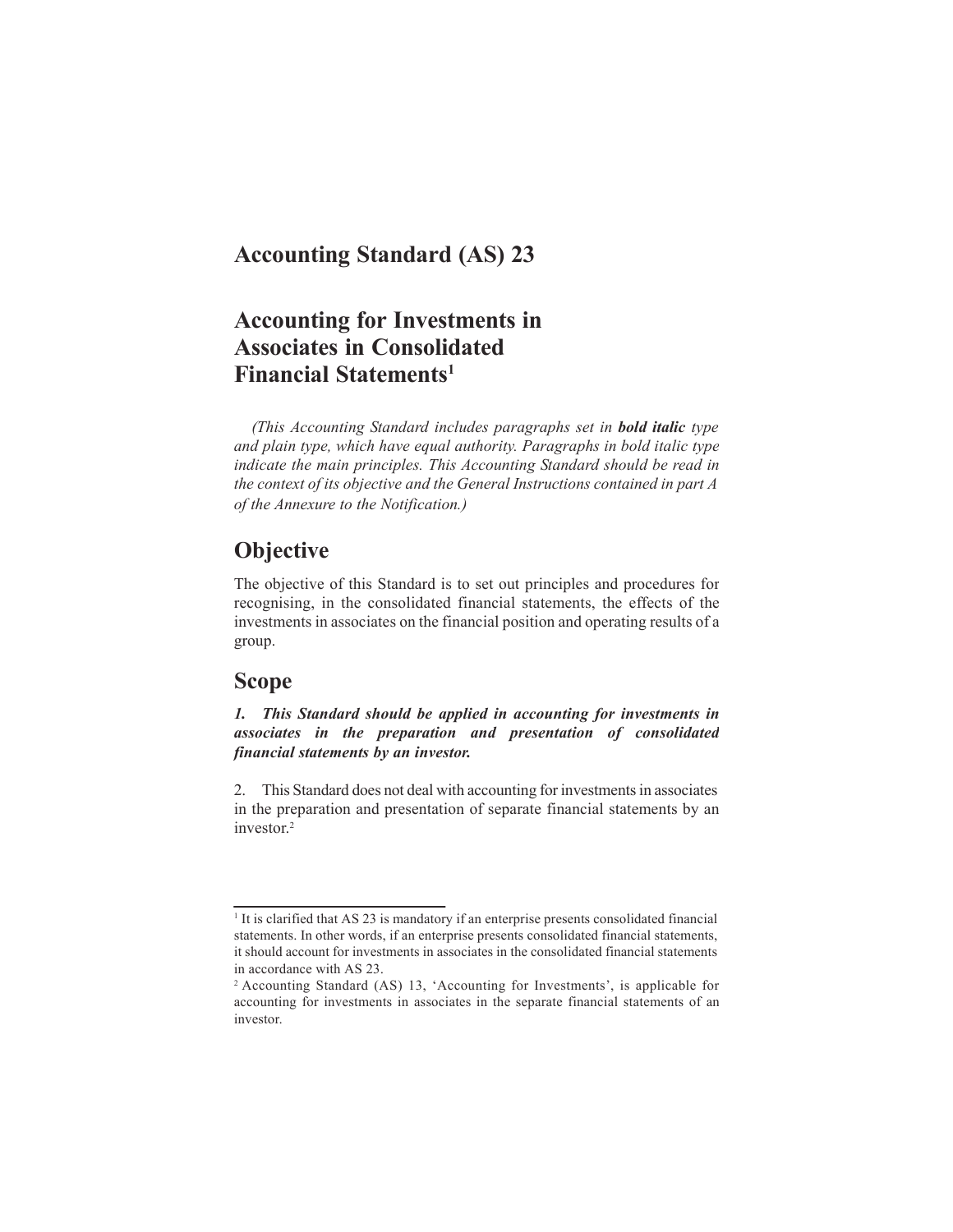## **Accounting Standard (AS) 23**

## **Accounting for Investments in Associates in Consolidated Financial Statements1**

*(This Accounting Standard includes paragraphs set in bold italic type and plain type, which have equal authority. Paragraphs in bold italic type indicate the main principles. This Accounting Standard should be read in the context of its objective and the General Instructions contained in part A of the Annexure to the Notification.)*

## **Objective**

The objective of this Standard is to set out principles and procedures for recognising, in the consolidated financial statements, the effects of the investments in associates on the financial position and operating results of a group.

### **Scope**

*1. This Standard should be applied in accounting for investments in associates in the preparation and presentation of consolidated financial statements by an investor.*

2. This Standard does not deal with accounting for investments in associates in the preparation and presentation of separate financial statements by an investor. 2

<sup>&</sup>lt;sup>1</sup> It is clarified that AS 23 is mandatory if an enterprise presents consolidated financial statements. In other words, if an enterprise presents consolidated financial statements, it should account for investments in associates in the consolidated financial statements in accordance with AS 23.

<sup>2</sup> Accounting Standard (AS) 13, 'Accounting for Investments', is applicable for accounting for investments in associates in the separate financial statements of an investor.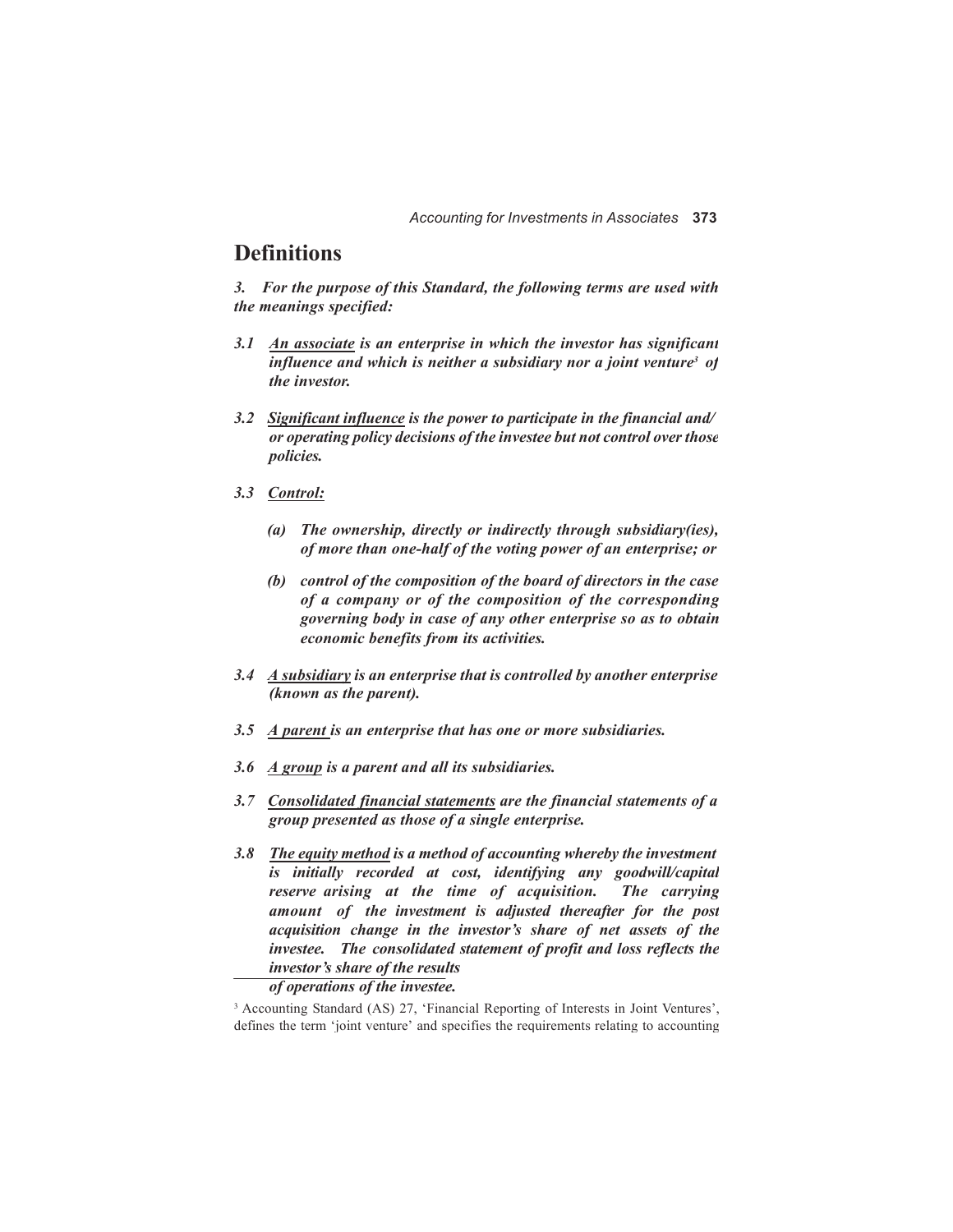## **Definitions**

*3. For the purpose of this Standard, the following terms are used with the meanings specified:*

- *3.1 An associate is an enterprise in which the investor has significant influence and which is neither a subsidiary nor a joint venture<sup>3</sup> of the investor.*
- *3.2 Significant influence is the power to participate in the financial and/ or operating policy decisions of the investee but not control over those policies.*
- *3.3 Control:*
	- *(a) The ownership, directly or indirectly through subsidiary(ies), of more than one-half of the voting power of an enterprise; or*
	- *(b) control of the composition of the board of directors in the case of a company or of the composition of the corresponding governing body in case of any other enterprise so as to obtain economic benefits from its activities.*
- *3.4 A subsidiary is an enterprise that is controlled by another enterprise (known as the parent).*
- *3.5 A parent is an enterprise that has one or more subsidiaries.*
- *3.6 A group is a parent and all its subsidiaries.*
- *3.7 Consolidated financial statements are the financial statements of a group presented as those of a single enterprise.*
- *3.8 The equity method is a method of accounting whereby the investment is initially recorded at cost, identifying any goodwill/capital reserve arising at the time of acquisition. The carrying amount of the investment is adjusted thereafter for the post acquisition change in the investor's share of net assets of the investee. The consolidated statement of profit and loss reflects the investor's share of the results*

#### *of operations of the investee.*

<sup>3</sup> Accounting Standard (AS) 27, 'Financial Reporting of Interests in Joint Ventures', defines the term 'joint venture' and specifies the requirements relating to accounting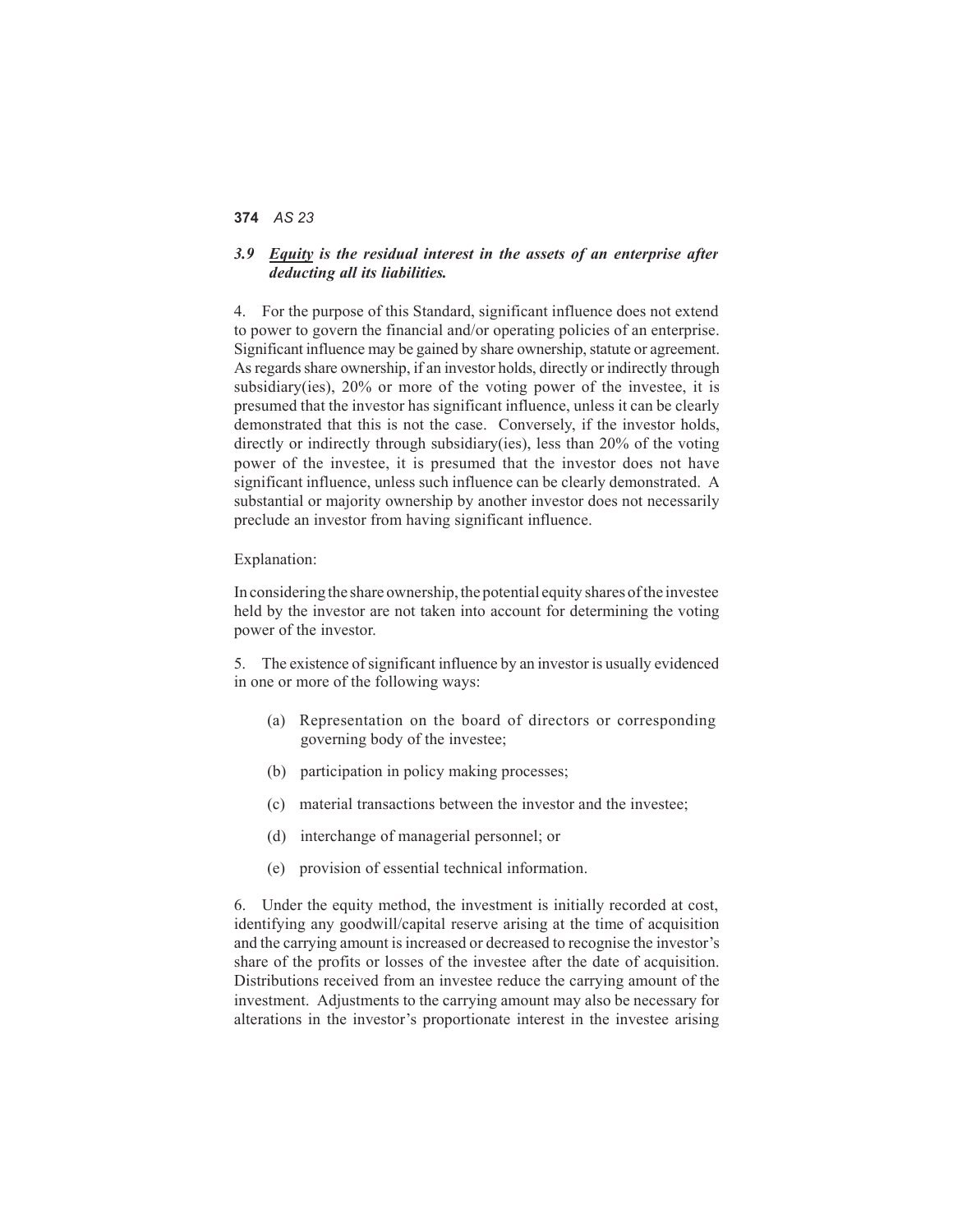#### *3.9 Equity is the residual interest in the assets of an enterprise after deducting all its liabilities.*

4. For the purpose of this Standard, significant influence does not extend to power to govern the financial and/or operating policies of an enterprise. Significant influence may be gained by share ownership, statute or agreement. As regards share ownership, if an investor holds, directly or indirectly through subsidiary(ies), 20% or more of the voting power of the investee, it is presumed that the investor has significant influence, unless it can be clearly demonstrated that this is not the case. Conversely, if the investor holds, directly or indirectly through subsidiary(ies), less than 20% of the voting power of the investee, it is presumed that the investor does not have significant influence, unless such influence can be clearly demonstrated. A substantial or majority ownership by another investor does not necessarily preclude an investor from having significant influence.

#### Explanation:

In considering the share ownership, the potential equity shares of the investee held by the investor are not taken into account for determining the voting power of the investor.

5. The existence of significant influence by an investor is usually evidenced in one or more of the following ways:

- (a) Representation on the board of directors or corresponding governing body of the investee;
- (b) participation in policy making processes;
- (c) material transactions between the investor and the investee;
- (d) interchange of managerial personnel; or
- (e) provision of essential technical information.

6. Under the equity method, the investment is initially recorded at cost, identifying any goodwill/capital reserve arising at the time of acquisition and the carrying amount is increased or decreased to recognise the investor's share of the profits or losses of the investee after the date of acquisition. Distributions received from an investee reduce the carrying amount of the investment. Adjustments to the carrying amount may also be necessary for alterations in the investor's proportionate interest in the investee arising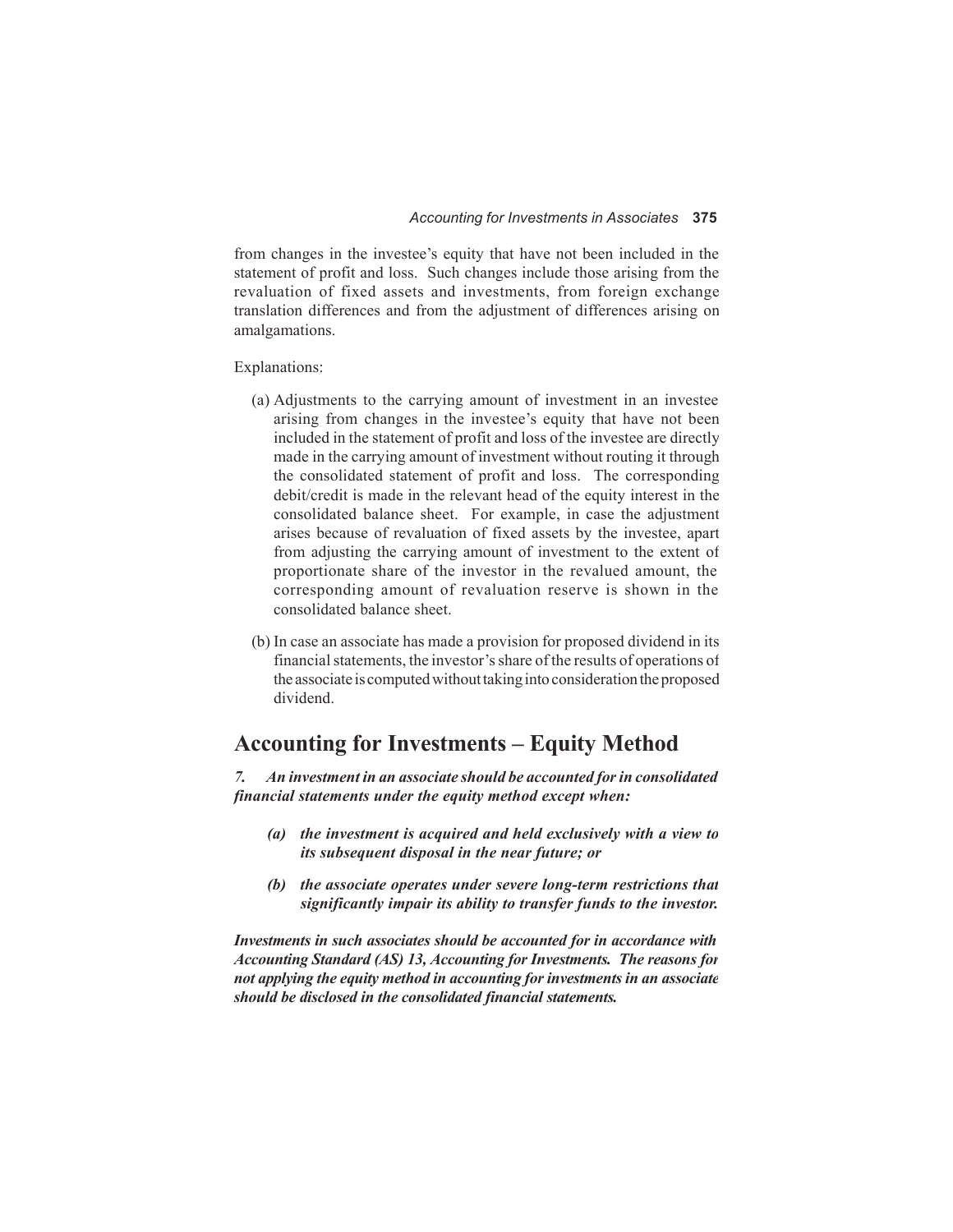from changes in the investee's equity that have not been included in the statement of profit and loss. Such changes include those arising from the revaluation of fixed assets and investments, from foreign exchange translation differences and from the adjustment of differences arising on amalgamations.

Explanations:

- (a) Adjustments to the carrying amount of investment in an investee arising from changes in the investee's equity that have not been included in the statement of profit and loss of the investee are directly made in the carrying amount of investment without routing it through the consolidated statement of profit and loss. The corresponding debit/credit is made in the relevant head of the equity interest in the consolidated balance sheet. For example, in case the adjustment arises because of revaluation of fixed assets by the investee, apart from adjusting the carrying amount of investment to the extent of proportionate share of the investor in the revalued amount, the corresponding amount of revaluation reserve is shown in the consolidated balance sheet.
- (b) In case an associate has made a provision for proposed dividend in its financial statements, the investor's share of the results of operations of the associate is computed without taking into consideration the proposed dividend.

## **Accounting for Investments – Equity Method**

*7. An investment in an associate should be accounted for in consolidated financial statements under the equity method except when:*

- *(a) the investment is acquired and held exclusively with a view to its subsequent disposal in the near future; or*
- *(b) the associate operates under severe long-term restrictions that significantly impair its ability to transfer funds to the investor.*

*Investments in such associates should be accounted for in accordance with Accounting Standard (AS) 13, Accounting for Investments. The reasons for not applying the equity method in accounting for investments in an associate should be disclosed in the consolidated financial statements.*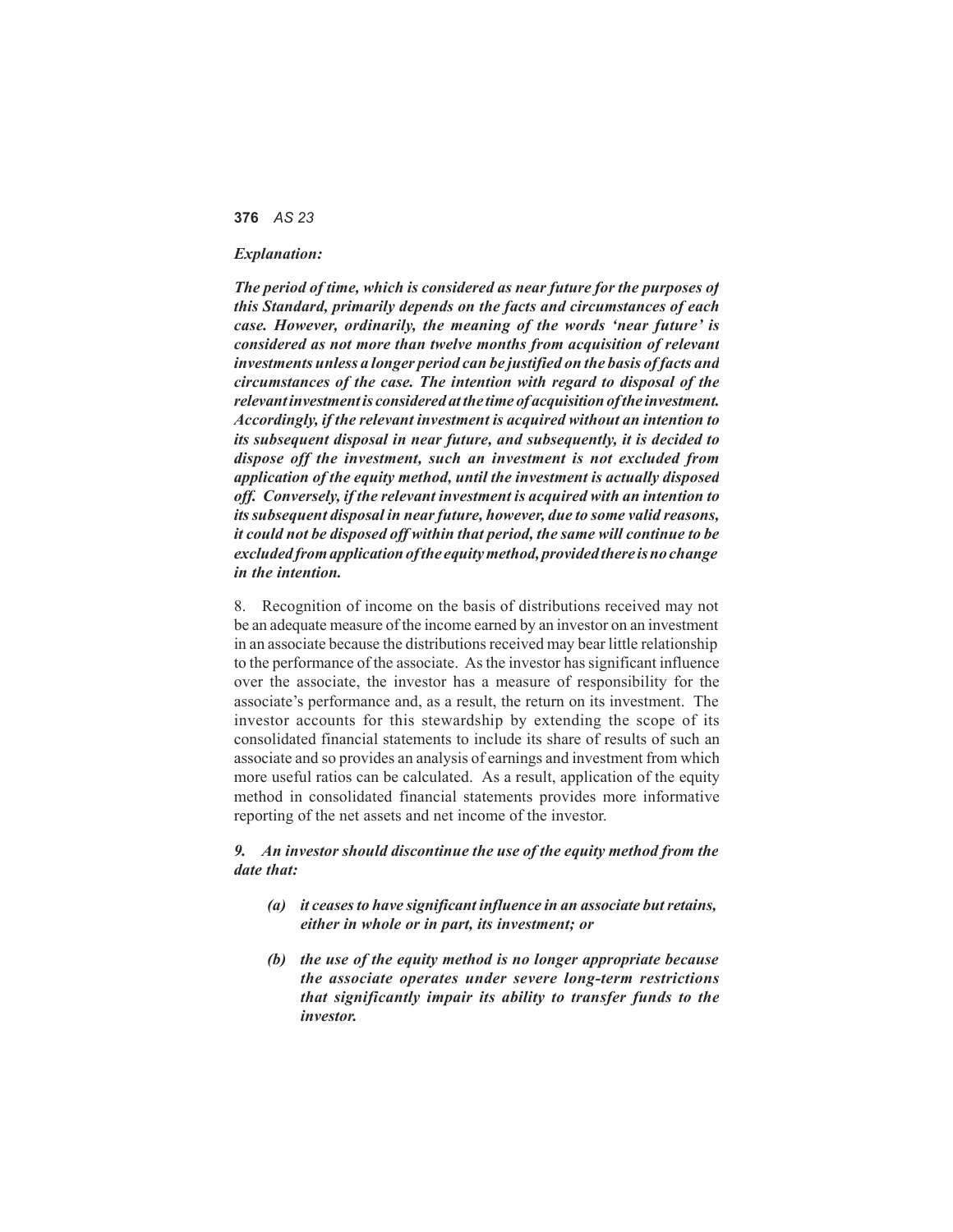#### *Explanation:*

*The period of time, which is considered as near future for the purposes of this Standard, primarily depends on the facts and circumstances of each case. However, ordinarily, the meaning of the words 'near future' is considered as not more than twelve months from acquisition of relevant investments unless a longer period can be justified on the basis of facts and circumstances of the case. The intention with regard to disposal of the relevant investment is considered at the time of acquisition of the investment. Accordingly, if the relevant investment is acquired without an intention to its subsequent disposal in near future, and subsequently, it is decided to dispose off the investment, such an investment is not excluded from application of the equity method, until the investment is actually disposed off. Conversely, if the relevant investment is acquired with an intention to its subsequent disposal in near future, however, due to some valid reasons, it could not be disposed off within that period, the same will continue to be excluded from application of the equity method, provided there is no change in the intention.*

8. Recognition of income on the basis of distributions received may not be an adequate measure of the income earned by an investor on an investment in an associate because the distributions received may bear little relationship to the performance of the associate. As the investor has significant influence over the associate, the investor has a measure of responsibility for the associate's performance and, as a result, the return on its investment. The investor accounts for this stewardship by extending the scope of its consolidated financial statements to include its share of results of such an associate and so provides an analysis of earnings and investment from which more useful ratios can be calculated. As a result, application of the equity method in consolidated financial statements provides more informative reporting of the net assets and net income of the investor.

#### *9. An investor should discontinue the use of the equity method from the date that:*

- *(a) it ceases to have significant influence in an associate butretains, either in whole or in part, its investment; or*
- *(b) the use of the equity method is no longer appropriate because the associate operates under severe long-term restrictions that significantly impair its ability to transfer funds to the investor.*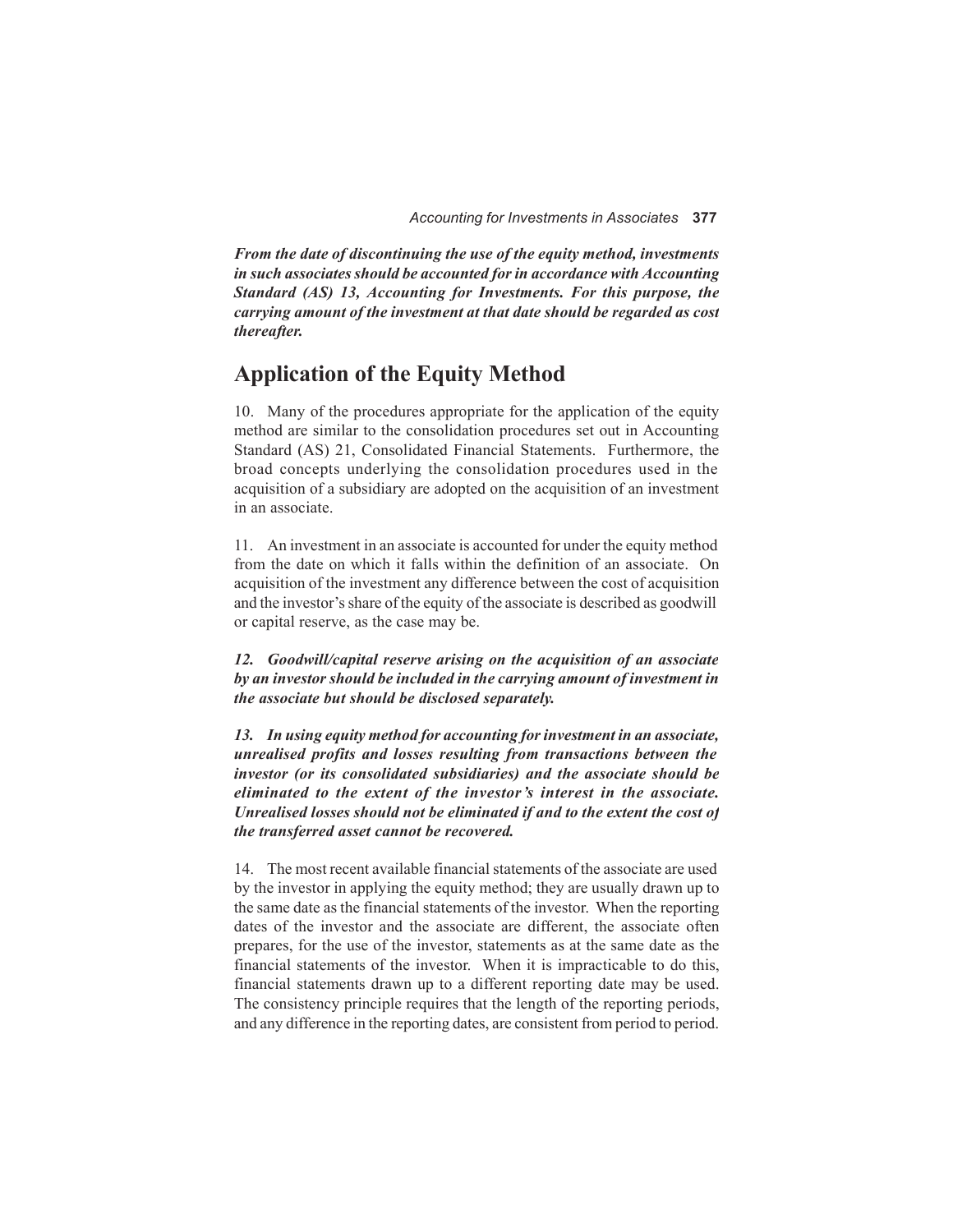*From the date of discontinuing the use of the equity method, investments in such associates should be accounted for in accordance with Accounting Standard (AS) 13, Accounting for Investments. For this purpose, the carrying amount of the investment at that date should be regarded as cost thereafter.*

## **Application of the Equity Method**

10. Many of the procedures appropriate for the application of the equity method are similar to the consolidation procedures set out in Accounting Standard (AS) 21, Consolidated Financial Statements. Furthermore, the broad concepts underlying the consolidation procedures used in the acquisition of a subsidiary are adopted on the acquisition of an investment in an associate.

11. An investment in an associate is accounted for under the equity method from the date on which it falls within the definition of an associate. On acquisition of the investment any difference between the cost of acquisition and the investor's share of the equity of the associate is described as goodwill or capital reserve, as the case may be.

*12. Goodwill/capital reserve arising on the acquisition of an associate by an investor should be included in the carrying amount of investment in the associate but should be disclosed separately.*

*13. In using equity method for accounting for investment in an associate, unrealised profits and losses resulting from transactions between the investor (or its consolidated subsidiaries) and the associate should be eliminated to the extent of the investor 's interest in the associate. Unrealised losses should not be eliminated if and to the extent the cost of the transferred asset cannot be recovered.*

14. The most recent available financial statements of the associate are used by the investor in applying the equity method; they are usually drawn up to the same date as the financial statements of the investor. When the reporting dates of the investor and the associate are different, the associate often prepares, for the use of the investor, statements as at the same date as the financial statements of the investor. When it is impracticable to do this, financial statements drawn up to a different reporting date may be used. The consistency principle requires that the length of the reporting periods, and any difference in the reporting dates, are consistent from period to period.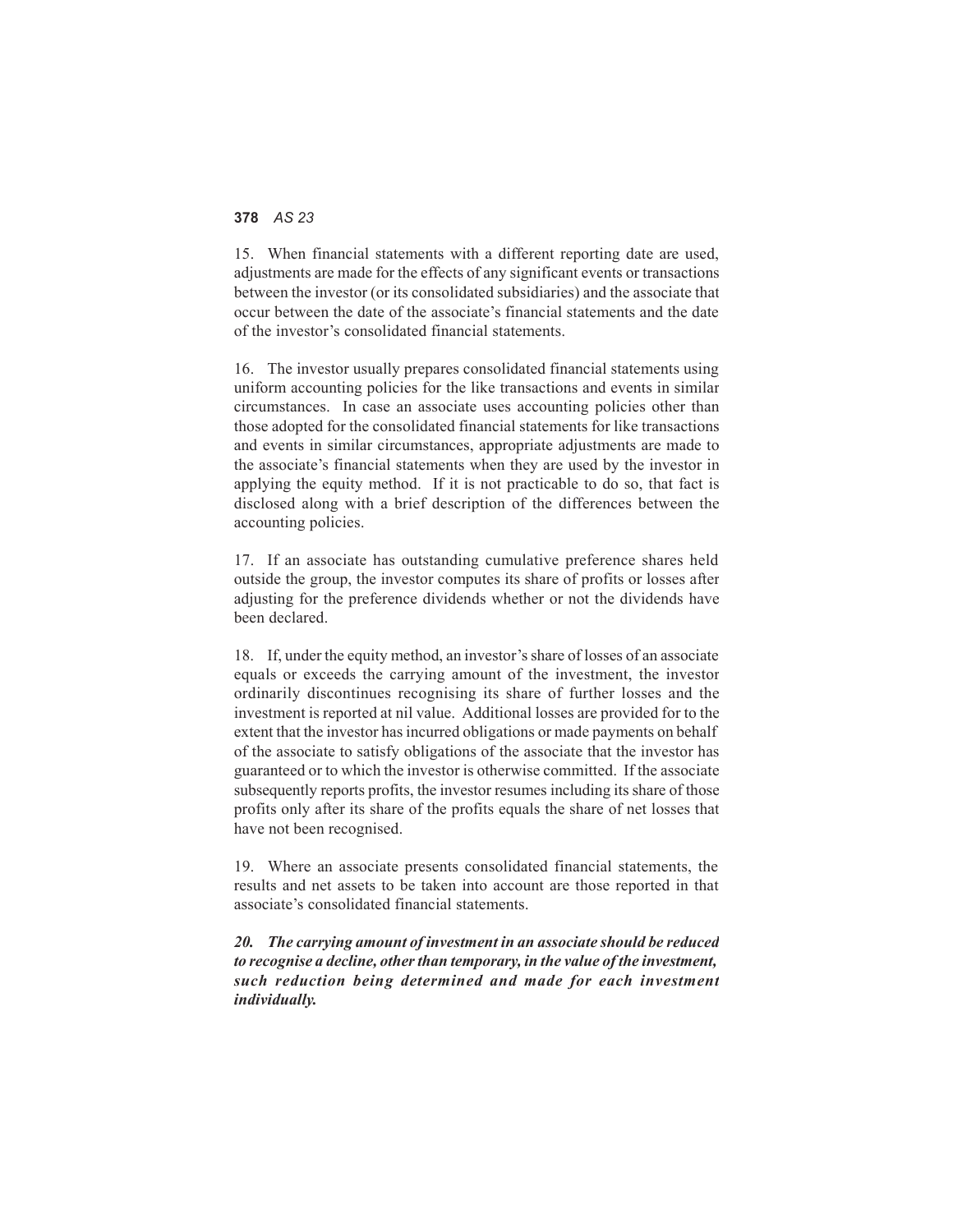15. When financial statements with a different reporting date are used, adjustments are made for the effects of any significant events or transactions between the investor (or its consolidated subsidiaries) and the associate that occur between the date of the associate's financial statements and the date of the investor's consolidated financial statements.

16. The investor usually prepares consolidated financial statements using uniform accounting policies for the like transactions and events in similar circumstances. In case an associate uses accounting policies other than those adopted for the consolidated financial statements for like transactions and events in similar circumstances, appropriate adjustments are made to the associate's financial statements when they are used by the investor in applying the equity method. If it is not practicable to do so, that fact is disclosed along with a brief description of the differences between the accounting policies.

17. If an associate has outstanding cumulative preference shares held outside the group, the investor computes its share of profits or losses after adjusting for the preference dividends whether or not the dividends have been declared.

18. If, under the equity method, an investor's share of losses of an associate equals or exceeds the carrying amount of the investment, the investor ordinarily discontinues recognising its share of further losses and the investment is reported at nil value. Additional losses are provided for to the extent that the investor has incurred obligations or made payments on behalf of the associate to satisfy obligations of the associate that the investor has guaranteed or to which the investor is otherwise committed. If the associate subsequently reports profits, the investor resumes including its share of those profits only after its share of the profits equals the share of net losses that have not been recognised.

19. Where an associate presents consolidated financial statements, the results and net assets to be taken into account are those reported in that associate's consolidated financial statements.

*20. The carrying amount of investment in an associate should be reduced to recognise a decline, other than temporary, in the value of the investment, such reduction being determined and made for each investment individually.*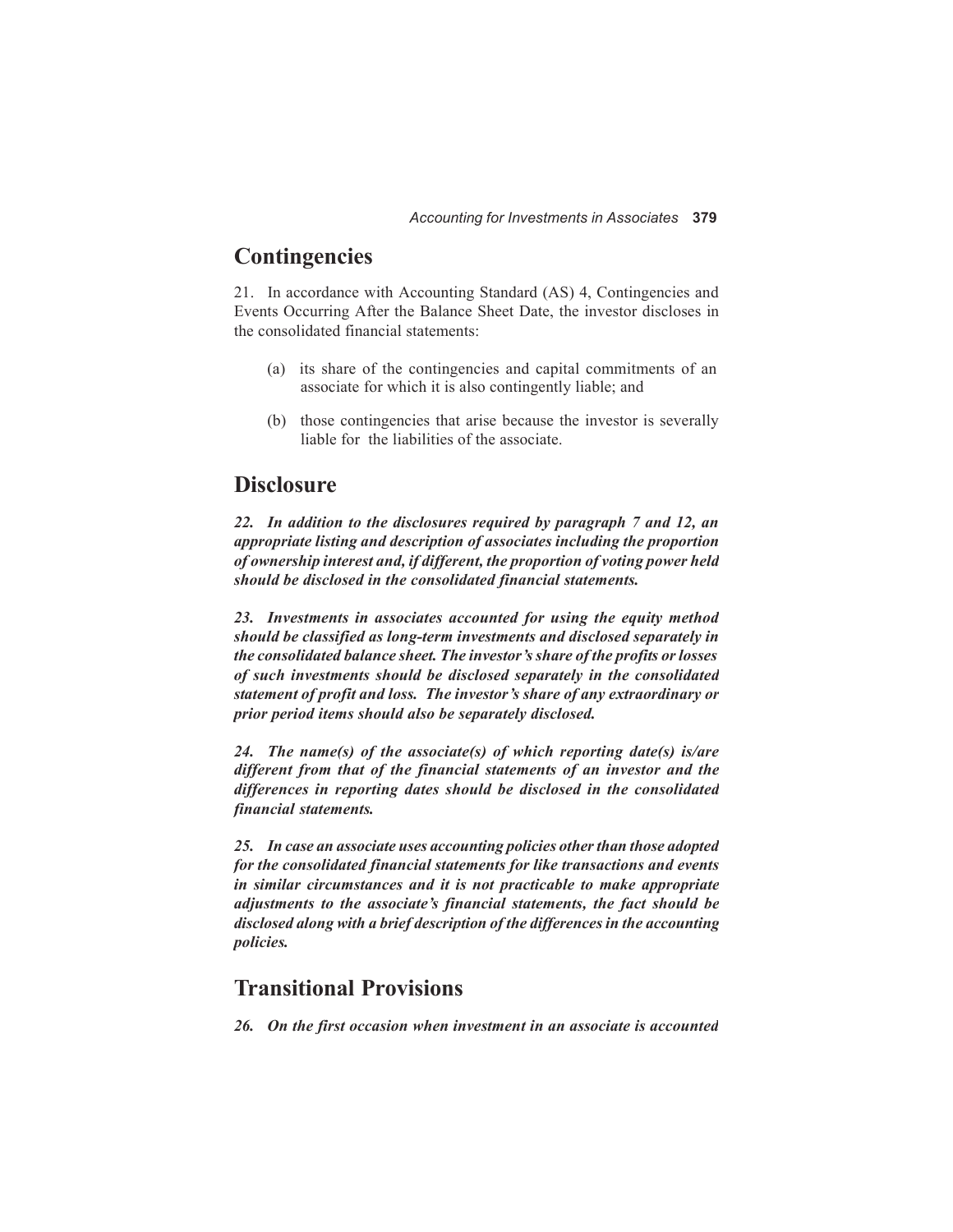## **Contingencies**

21. In accordance with Accounting Standard (AS) 4, Contingencies and Events Occurring After the Balance Sheet Date, the investor discloses in the consolidated financial statements:

- (a) its share of the contingencies and capital commitments of an associate for which it is also contingently liable; and
- (b) those contingencies that arise because the investor is severally liable for the liabilities of the associate.

### **Disclosure**

*22. In addition to the disclosures required by paragraph 7 and 12, an appropriate listing and description of associates including the proportion of ownership interest and, if different, the proportion of voting power held should be disclosed in the consolidated financial statements.*

*23. Investments in associates accounted for using the equity method should be classified as long-term investments and disclosed separately in the consolidated balance sheet. The investor's share of the profits or losses of such investments should be disclosed separately in the consolidated statement of profit and loss. The investor's share of any extraordinary or prior period items should also be separately disclosed.*

*24. The name(s) of the associate(s) of which reporting date(s) is/are different from that of the financial statements of an investor and the differences in reporting dates should be disclosed in the consolidated financial statements.*

25. In case an associate uses accounting policies other than those adopted *for the consolidated financial statements for like transactions and events in similar circumstances and it is not practicable to make appropriate adjustments to the associate's financial statements, the fact should be disclosed along with a brief description of the differences in the accounting policies.*

## **Transitional Provisions**

*26. On the first occasion when investment in an associate is accounted*